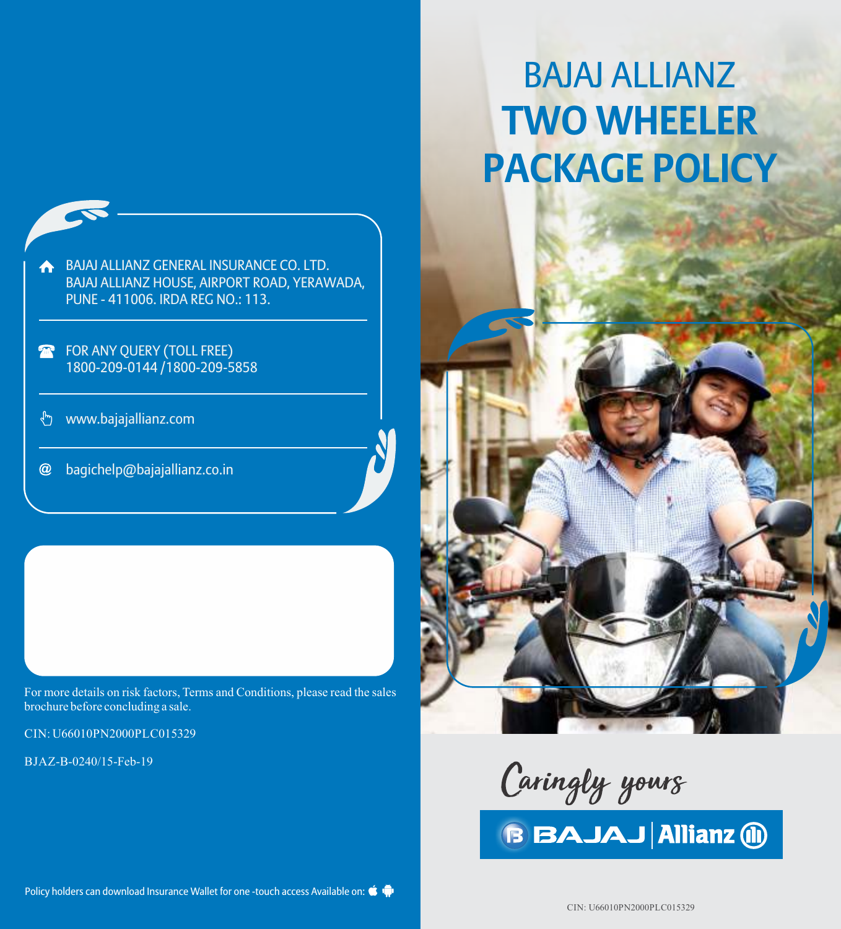

- FOR ANY QUERY (TOLL FREE) 1800-209-0144 /1800-209-5858
- www.bajajallianz.com  $\mathcal{L}_{\mu\nu}$
- $\omega$ bagichelp@bajajallianz.co.in

For more details on risk factors, Terms and Conditions, please read the sales brochure before concluding a sale.

CIN: U66010PN2000PLC015329

BJAZ-B-0240/15-Feb-19

# BAJAJ ALLIANZ **TWO WHEELER PACKAGE POLICY**



Policy holders can download Insurance Wallet for one -touch access Available on:  $\bullet$ 

CIN: U66010PN2000PLC015329

**BBAJAJ Allianz (ii)**